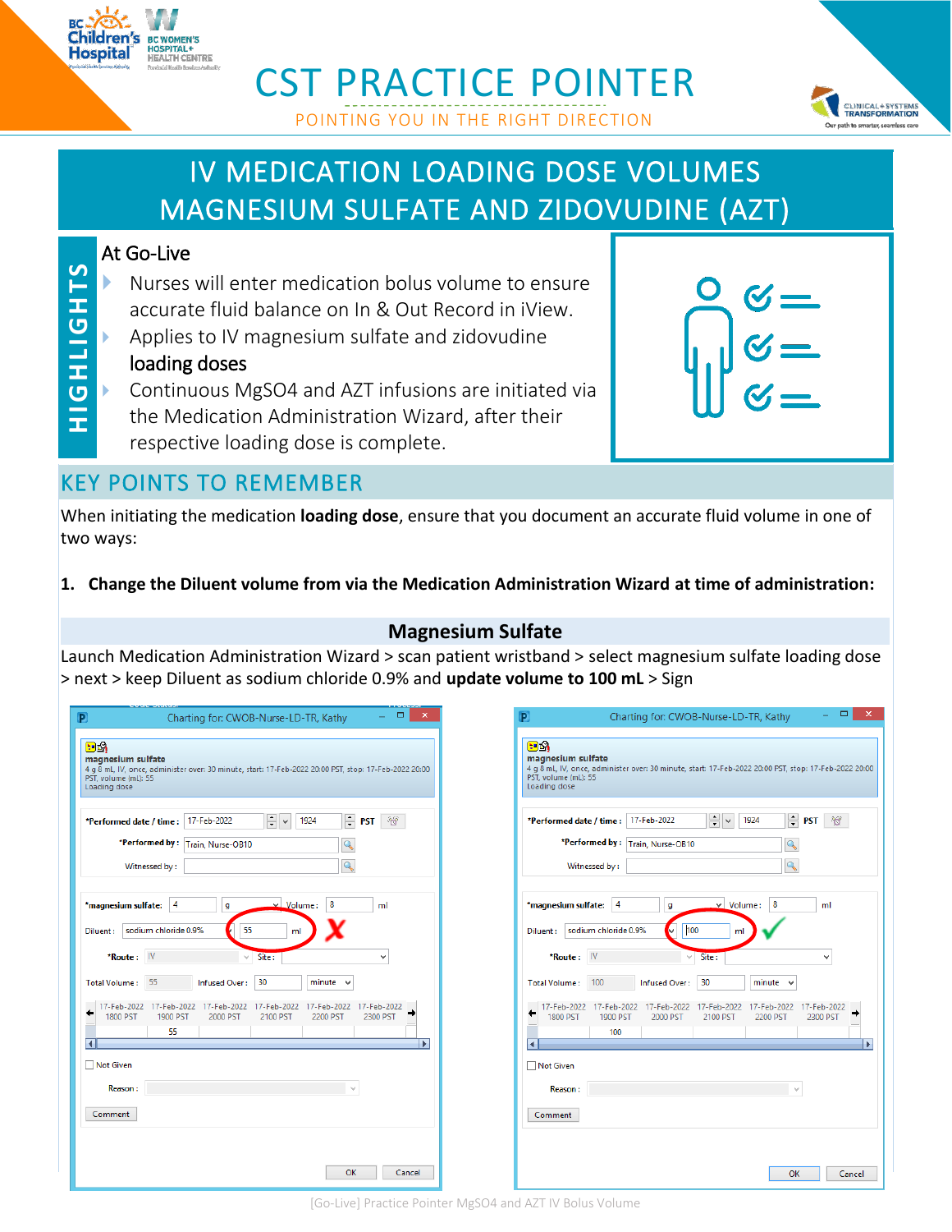

# CST PRACTICE POINTER POINTING YOU IN THE RIGHT DIRECTION



# IV MEDICATION LOADING DOSE VOLUMES MAGNESIUM SULFATE AND ZIDOVUDINE (AZT)

### At Go-Live

- Nurses will enter medication bolus volume to ensure accurate fluid balance on In & Out Record in iView.
- Applies to IV magnesium sulfate and zidovudine loading doses
- **SLHDITHOHS H IG H LIGH TS** Continuous MgSO4 and AZT infusions are initiated via the Medication Administration Wizard, after their respective loading dose is complete.

| $Q_{C}$                                                                 |
|-------------------------------------------------------------------------|
| $\bigoplus_{k=1}^{\infty} \begin{matrix} 1 \\ 2 \\ 3 \\ 4 \end{matrix}$ |
|                                                                         |

## KEY POINTS TO REMEMBER

When initiating the medication **loading dose**, ensure that you document an accurate fluid volume in one of two ways:

#### **1. Change the Diluent volume from via the Medication Administration Wizard at time of administration:**

#### **Magnesium Sulfate**

Launch Medication Administration Wizard > scan patient wristband > select magnesium sulfate loading dose > next > keep Diluent as sodium chloride 0.9% and **update volume to 100 mL** > Sign

| P                                                               | ▭<br>$\mathsf{x}$<br>Charting for: CWOB-Nurse-LD-TR, Kathy                                                                                |
|-----------------------------------------------------------------|-------------------------------------------------------------------------------------------------------------------------------------------|
| na<br>magnesium sulfate<br>PST, volume (mL): 55<br>Loading dose | 4 g 8 mL, IV, once, administer over: 30 minute, start: 17-Feb-2022 20:00 PST, stop: 17-Feb-2022 20:00                                     |
| *Performed date / time :<br>*Performed by:<br>Witnessed by:     | $\div$<br>≑<br>17-Feb-2022<br>1924<br>28<br><b>PST</b><br>Train, Nurse-OB10<br>Q<br>Q                                                     |
| *magnesium sulfate:<br>Diluent:<br>IV<br>*Route:                | $\vee$ Volume:<br>8<br>4<br>ml<br>g<br>sodium chloride 0.9%<br>55<br>ml<br>Site:<br>v                                                     |
| 55<br><b>Total Volume:</b>                                      | <b>Infused Over:</b><br>30<br>minute                                                                                                      |
| 17-Feb-2022<br>1800 PST                                         | 17-Feb-2022<br>17-Feb-2022<br>17-Feb-2022<br>17-Feb-2022<br>17-Feb-2022<br>1900 PST<br>2000 PST<br>2200 PST<br>2300 PST<br>2100 PST<br>55 |
| <b>Not Given</b>                                                | Þ.                                                                                                                                        |
| <b>Reason:</b><br>Comment                                       |                                                                                                                                           |
|                                                                 | OK<br>Cancel                                                                                                                              |

| P                                                               |                |                                       | Charting for: CWOB-Nurse-LD-TR, Kathy |                         |                         | ▭<br>$\overline{\mathsf{x}}$                                                                          |
|-----------------------------------------------------------------|----------------|---------------------------------------|---------------------------------------|-------------------------|-------------------------|-------------------------------------------------------------------------------------------------------|
| 四路<br>magnesium sulfate<br>PST, volume (mL): 55<br>Loading dose |                |                                       |                                       |                         |                         | 4 g 8 mL, IV, once, administer over: 30 minute, start: 17-Feb-2022 20:00 PST, stop: 17-Feb-2022 20:00 |
| *Performed date / time :                                        |                | *Performed by:<br>Witnessed by:       | 17-Feb-2022<br>Train, Nurse-OB10      | $\div$<br>$\checkmark$  | $\div$<br>1924          | <b>PST</b><br>$\mathbf{r}$                                                                            |
| *magnesium sulfate:<br>Diluent:                                 |                | 4<br>sodium chloride 0.9%             | g<br>100                              | Volume:<br>v<br>ml      | 8                       | ml                                                                                                    |
|                                                                 | *Route:        | IV                                    |                                       | Site:                   |                         | v                                                                                                     |
| <b>Total Volume:</b>                                            |                | 100                                   | Infused Over:                         | 30                      | minute                  |                                                                                                       |
| 17-Feb-2022<br><b>1800 PST</b>                                  |                | 17-Feb-2022<br><b>1900 PST</b><br>100 | 17-Feb-2022<br>2000 PST               | 17-Feb-2022<br>2100 PST | 17-Feb-2022<br>2200 PST | 17-Feb-2022<br>2300 PST<br>Þ.                                                                         |
| <b>Not Given</b>                                                |                |                                       |                                       |                         |                         |                                                                                                       |
|                                                                 | <b>Reason:</b> |                                       |                                       |                         |                         |                                                                                                       |
| Comment                                                         |                |                                       |                                       |                         |                         |                                                                                                       |
|                                                                 |                |                                       |                                       |                         |                         |                                                                                                       |
|                                                                 |                |                                       |                                       |                         | OK                      | Cancel                                                                                                |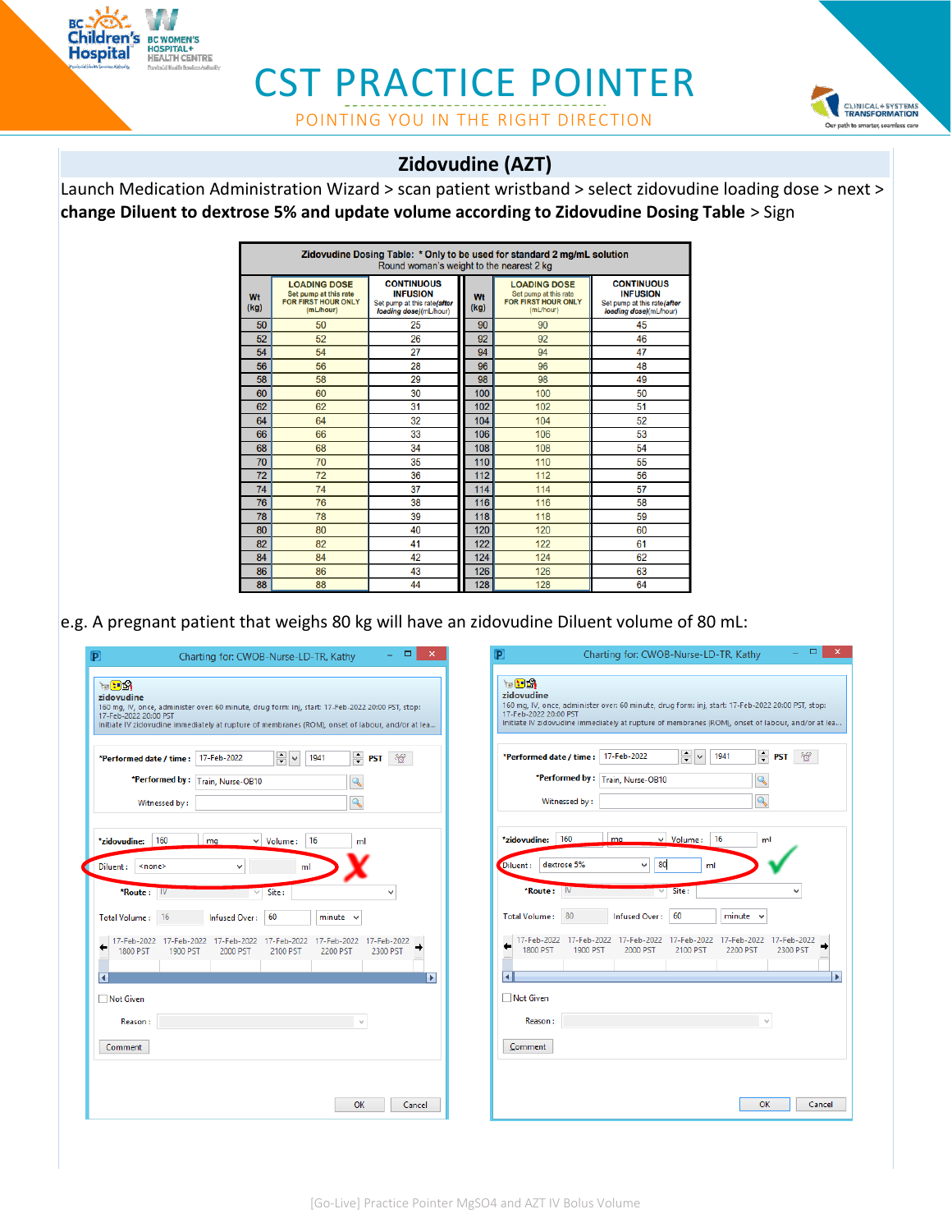

## CST PRACTICE POINTER POINTING YOU IN THE RIGHT DIRECTION



### **Zidovudine (AZT)**

Launch Medication Administration Wizard > scan patient wristband > select zidovudine loading dose > next > **change Diluent to dextrose 5% and update volume according to Zidovudine Dosing Table** > Sign

|            | Zidovudine Dosing Table: * Only to be used for standard 2 mg/mL solution<br>Round woman's weight to the nearest 2 kg |                                                                                               |            |                                                                                         |                                                                                               |
|------------|----------------------------------------------------------------------------------------------------------------------|-----------------------------------------------------------------------------------------------|------------|-----------------------------------------------------------------------------------------|-----------------------------------------------------------------------------------------------|
| Wt<br>(kq) | <b>LOADING DOSE</b><br>Set pump at this rate<br><b>FOR FIRST HOUR ONLY</b><br>(mL/hour)                              | <b>CONTINUOUS</b><br><b>INFUSION</b><br>Set pump at this rate(after<br>loading dose)(mL/hour) | Wt<br>(kg) | <b>LOADING DOSE</b><br>Set pump at this rate<br><b>FOR FIRST HOUR ONLY</b><br>(mL/hour) | <b>CONTINUOUS</b><br><b>INFUSION</b><br>Set pump at this rate(after<br>loading dose)(mL/hour) |
| 50         | 50                                                                                                                   | 25                                                                                            | 90         | 90                                                                                      | 45                                                                                            |
| 52         | 52                                                                                                                   | 26                                                                                            | 92         | 92                                                                                      | 46                                                                                            |
| 54         | 54                                                                                                                   | 27                                                                                            | 94         | 94                                                                                      | 47                                                                                            |
| 56         | 56                                                                                                                   | 28                                                                                            | 96         | 96                                                                                      | 48                                                                                            |
| 58         | 58                                                                                                                   | 29                                                                                            | 98         | 98                                                                                      | 49                                                                                            |
| 60         | 60                                                                                                                   | 30                                                                                            | 100        | 100                                                                                     | 50                                                                                            |
| 62         | 62                                                                                                                   | 31                                                                                            | 102        | 102                                                                                     | 51                                                                                            |
| 64         | 64                                                                                                                   | 32                                                                                            | 104        | 104                                                                                     | 52                                                                                            |
| 66         | 66                                                                                                                   | 33                                                                                            | 106        | 106                                                                                     | 53                                                                                            |
| 68         | 68                                                                                                                   | 34                                                                                            | 108        | 108                                                                                     | 54                                                                                            |
| 70         | 70                                                                                                                   | 35                                                                                            | 110        | 110                                                                                     | 55                                                                                            |
| 72         | 72                                                                                                                   | 36                                                                                            | 112        | 112                                                                                     | 56                                                                                            |
| 74         | 74                                                                                                                   | 37                                                                                            | 114        | 114                                                                                     | 57                                                                                            |
| 76         | 76                                                                                                                   | 38                                                                                            | 116        | 116                                                                                     | 58                                                                                            |
| 78         | 78                                                                                                                   | 39                                                                                            | 118        | 118                                                                                     | 59                                                                                            |
| 80         | 80                                                                                                                   | 40                                                                                            | 120        | 120                                                                                     | 60                                                                                            |
| 82         | 82                                                                                                                   | 41                                                                                            | 122        | 122                                                                                     | 61                                                                                            |
| 84         | 84                                                                                                                   | 42                                                                                            | 124        | 124                                                                                     | 62                                                                                            |
| 86         | 86                                                                                                                   | 43                                                                                            | 126        | 126                                                                                     | 63                                                                                            |
| 88         | 88                                                                                                                   | 44                                                                                            | 128        | 128                                                                                     | 64                                                                                            |

e.g. A pregnant patient that weighs 80 kg will have an zidovudine Diluent volume of 80 mL:

| $\Box$                                                                                                                                                                                                                                               | $\Box$                                                                                                                                                                                                                            |
|------------------------------------------------------------------------------------------------------------------------------------------------------------------------------------------------------------------------------------------------------|-----------------------------------------------------------------------------------------------------------------------------------------------------------------------------------------------------------------------------------|
| $\times$                                                                                                                                                                                                                                             | $\propto$                                                                                                                                                                                                                         |
| P                                                                                                                                                                                                                                                    | P                                                                                                                                                                                                                                 |
| Charting for: CWOB-Nurse-LD-TR, Kathy                                                                                                                                                                                                                | Charting for: CWOB-Nurse-LD-TR, Kathy                                                                                                                                                                                             |
| $\mathbf{H} = \mathbf{H} \mathbf{H}$                                                                                                                                                                                                                 | $\mathcal{L} \mathbf{H}$                                                                                                                                                                                                          |
| zidovudine                                                                                                                                                                                                                                           | zidovudine                                                                                                                                                                                                                        |
| 160 mg, IV, once, administer over: 60 minute, drug form: inj, start: 17-Feb-2022 20:00 PST, stop:                                                                                                                                                    | 160 mg, IV, once, administer over: 60 minute, drug form: inj, start: 17-Feb-2022 20:00 PST, stop:                                                                                                                                 |
| 17-Feb-2022 20:00 PST                                                                                                                                                                                                                                | 17-Feb-2022 20:00 PST                                                                                                                                                                                                             |
| Initiate IV zidovudine immediately at rupture of membranes (ROM), onset of labour, and/or at lea                                                                                                                                                     | Initiate IV zidovudine immediately at rupture of membranes (ROM), onset of labour, and/or at lea                                                                                                                                  |
| $\frac{1}{\tau}$ $\vee$<br>$\div$ PST<br>$\sigma$<br>17-Feb-2022<br>1941<br>*Performed date / time :<br>*Performed by: Train, Nurse-OB10<br>$\mathbf{Q}$<br>$\mathbf{Q}$<br>Witnessed by:                                                            | $\frac{1}{\tau}$ v<br>$\Rightarrow$ PST<br>*Performed date / time : 17-Feb-2022<br>1941<br>$\sigma$<br>*Performed by: Train, Nurse-OB10<br>$\mathbb{Q}$<br>Q<br>Witnessed by:                                                     |
| 160                                                                                                                                                                                                                                                  | 160                                                                                                                                                                                                                               |
| 16                                                                                                                                                                                                                                                   | 16                                                                                                                                                                                                                                |
| *zidovudine:                                                                                                                                                                                                                                         | $\vee$ Volume:                                                                                                                                                                                                                    |
| mq                                                                                                                                                                                                                                                   | *zidovudine:                                                                                                                                                                                                                      |
| $\vee$ Volume:                                                                                                                                                                                                                                       | ma.                                                                                                                                                                                                                               |
| ml                                                                                                                                                                                                                                                   | ml                                                                                                                                                                                                                                |
| Diluent:                                                                                                                                                                                                                                             | 80                                                                                                                                                                                                                                |
| <none></none>                                                                                                                                                                                                                                        | dextrose 5%                                                                                                                                                                                                                       |
| ml                                                                                                                                                                                                                                                   | Diluent:                                                                                                                                                                                                                          |
| $\checkmark$                                                                                                                                                                                                                                         | $\checkmark$                                                                                                                                                                                                                      |
| Site:                                                                                                                                                                                                                                                | ml                                                                                                                                                                                                                                |
| $*$ Route: $\mathbb{W}$                                                                                                                                                                                                                              | *Route:                                                                                                                                                                                                                           |
| $\checkmark$                                                                                                                                                                                                                                         | $\mathsf{IV}$                                                                                                                                                                                                                     |
| v                                                                                                                                                                                                                                                    | Site:                                                                                                                                                                                                                             |
| 60<br>16<br>Infused Over:<br>minute<br><b>Total Volume:</b><br>$\checkmark$<br>17-Feb-2022<br>17-Feb-2022<br>17-Feb-2022<br>17-Feb-2022<br>17-Feb-2022<br>17-Feb-2022<br>1800 PST<br><b>1900 PST</b><br>2000 PST<br>2100 PST<br>2200 PST<br>2300 PST | 60<br>80<br>$minute \sim$<br><b>Total Volume:</b><br>Infused Over:<br>17-Feb-2022<br>17-Feb-2022 17-Feb-2022<br>17-Feb-2022<br>17-Feb-2022<br>17-Feb-2022<br>1800 PST<br>1900 PST<br>2000 PST<br>2100 PST<br>2200 PST<br>2300 PST |
| $\blacktriangleright$                                                                                                                                                                                                                                | к                                                                                                                                                                                                                                 |
| K                                                                                                                                                                                                                                                    | Ы                                                                                                                                                                                                                                 |
| □ Not Given                                                                                                                                                                                                                                          | □ Not Given                                                                                                                                                                                                                       |
| Reason:                                                                                                                                                                                                                                              | Reason:                                                                                                                                                                                                                           |
| Comment                                                                                                                                                                                                                                              | Comment                                                                                                                                                                                                                           |
| OK                                                                                                                                                                                                                                                   | OK                                                                                                                                                                                                                                |
| Cancel                                                                                                                                                                                                                                               | Cancel                                                                                                                                                                                                                            |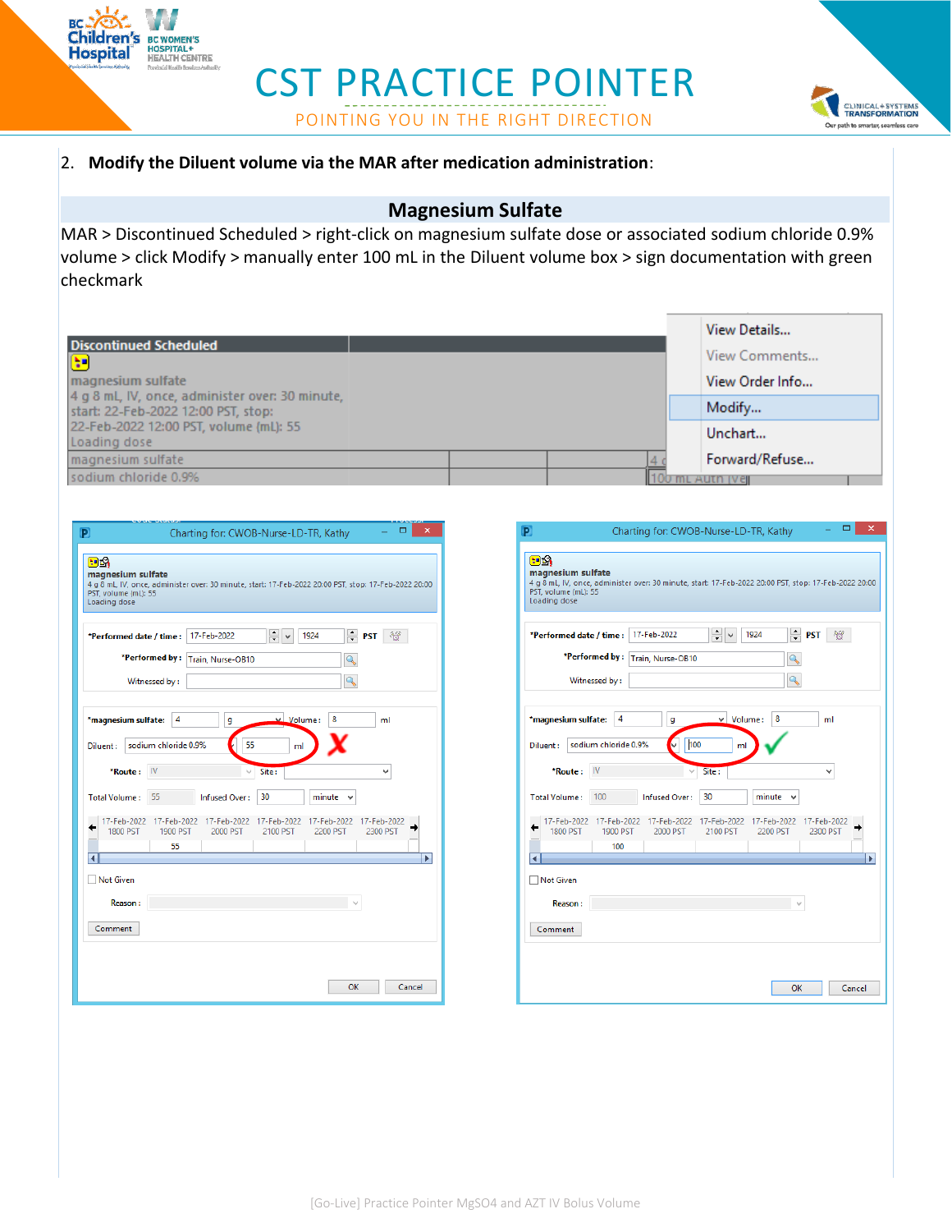

## CST PRACTICE POINTER POINTING YOU IN THE RIGHT DIRECTION



#### 2. **Modify the Diluent volume via the MAR after medication administration**:

#### **Magnesium Sulfate**

MAR > Discontinued Scheduled > right-click on magnesium sulfate dose or associated sodium chloride 0.9% volume > click Modify > manually enter 100 mL in the Diluent volume box > sign documentation with green checkmark

|                                                                                        |  |  | View Details    |
|----------------------------------------------------------------------------------------|--|--|-----------------|
| <b>Discontinued Scheduled</b><br>$\left(\frac{1}{2}\right)$                            |  |  | View Comments   |
| magnesium sulfate                                                                      |  |  | View Order Info |
| 4 g 8 mL, IV, once, administer over: 30 minute,<br>start: 22-Feb-2022 12:00 PST, stop: |  |  | Modify          |
| 22-Feb-2022 12:00 PST, volume (mL): 55<br>Loading dose                                 |  |  | Unchart         |
| magnesium sulfate                                                                      |  |  | Forward/Refuse  |
| sodium chloride 0.9%                                                                   |  |  | mL AUTH IVEIL   |

| ▭<br>×<br>P<br>Charting for: CWOB-Nurse-LD-TR, Kathy                                                                                                                               |  |  |  |  |
|------------------------------------------------------------------------------------------------------------------------------------------------------------------------------------|--|--|--|--|
| og<br>magnesium sulfate<br>4 g 8 mL, IV, once, administer over: 30 minute, start: 17-Feb-2022 20:00 PST, stop: 17-Feb-2022 20:00<br>PST, volume (mL): 55<br>Loading dose           |  |  |  |  |
| $\frac{1}{\tau}$<br>÷<br>17-Feb-2022<br>1924<br>*Performed date / time :<br><b>PST</b><br>*Performed by:<br>Train, Nurse-OB10<br>$\overline{\mathbf{Q}}$<br>Witnessed by:          |  |  |  |  |
| 4<br>$\vee$ Volume:<br>8<br>*magnesium sulfate:<br>ml<br>g<br>55<br>sodium chloride 0.9%<br>Diluent:<br>ml                                                                         |  |  |  |  |
| IV<br>*Route:<br>Site:                                                                                                                                                             |  |  |  |  |
| 55<br><b>Infused Over:</b><br>30<br><b>Total Volume:</b><br>minute                                                                                                                 |  |  |  |  |
| 17-Feb-2022<br>17-Feb-2022<br>17-Feb-2022<br>17-Feb-2022<br>17-Feb-2022<br>17-Feb-2022<br><b>1800 PST</b><br><b>1900 PST</b><br>2000 PST<br>2300 PST<br>2100 PST<br>2200 PST<br>55 |  |  |  |  |
| Ы                                                                                                                                                                                  |  |  |  |  |
| Not Given                                                                                                                                                                          |  |  |  |  |
| <b>Reason:</b>                                                                                                                                                                     |  |  |  |  |
| Comment                                                                                                                                                                            |  |  |  |  |
| OK<br>Cancel                                                                                                                                                                       |  |  |  |  |

| ▭<br>×<br>P<br>Charting for: CWOB-Nurse-LD-TR, Kathy                                                                                                                                                                                                                            |   |  |  |  |
|---------------------------------------------------------------------------------------------------------------------------------------------------------------------------------------------------------------------------------------------------------------------------------|---|--|--|--|
| og<br>magnesium sulfate<br>4 q 8 mL, IV, once, administer over: 30 minute, start: 17-Feb-2022 20:00 PST, stop: 17-Feb-2022 20:00<br>PST, volume (mL): 55<br>Loading dose                                                                                                        |   |  |  |  |
| $\div$<br>$\div$<br>17-Feb-2022<br>1924<br>*Performed date / time :<br><b>PST</b><br>*Performed by:<br>Train, Nurse-OB10<br>$\mathbb{Q}$<br>Witnessed by:                                                                                                                       |   |  |  |  |
| 4<br>$\vee$ Volume:<br>8<br>*magnesium sulfate:<br>ml<br>g<br>100<br>sodium chloride 0.9%<br>Diluent:<br>ml<br>*Route:<br>IV<br>Site:<br>v                                                                                                                                      |   |  |  |  |
| 100<br>Infused Over:<br>30<br><b>Total Volume:</b><br>minute<br>17-Feb-2022<br>17-Feb-2022<br>17-Feb-2022<br>17-Feb-2022<br>17-Feb-2022<br>17-Feb-2022<br>1800 PST<br>2300 PST<br>1900 PST<br>2000 PST<br>2100 PST<br>2200 PST<br>100<br><b>Not Given</b><br>Reason:<br>Comment | Ы |  |  |  |
| OK<br>Cancel                                                                                                                                                                                                                                                                    |   |  |  |  |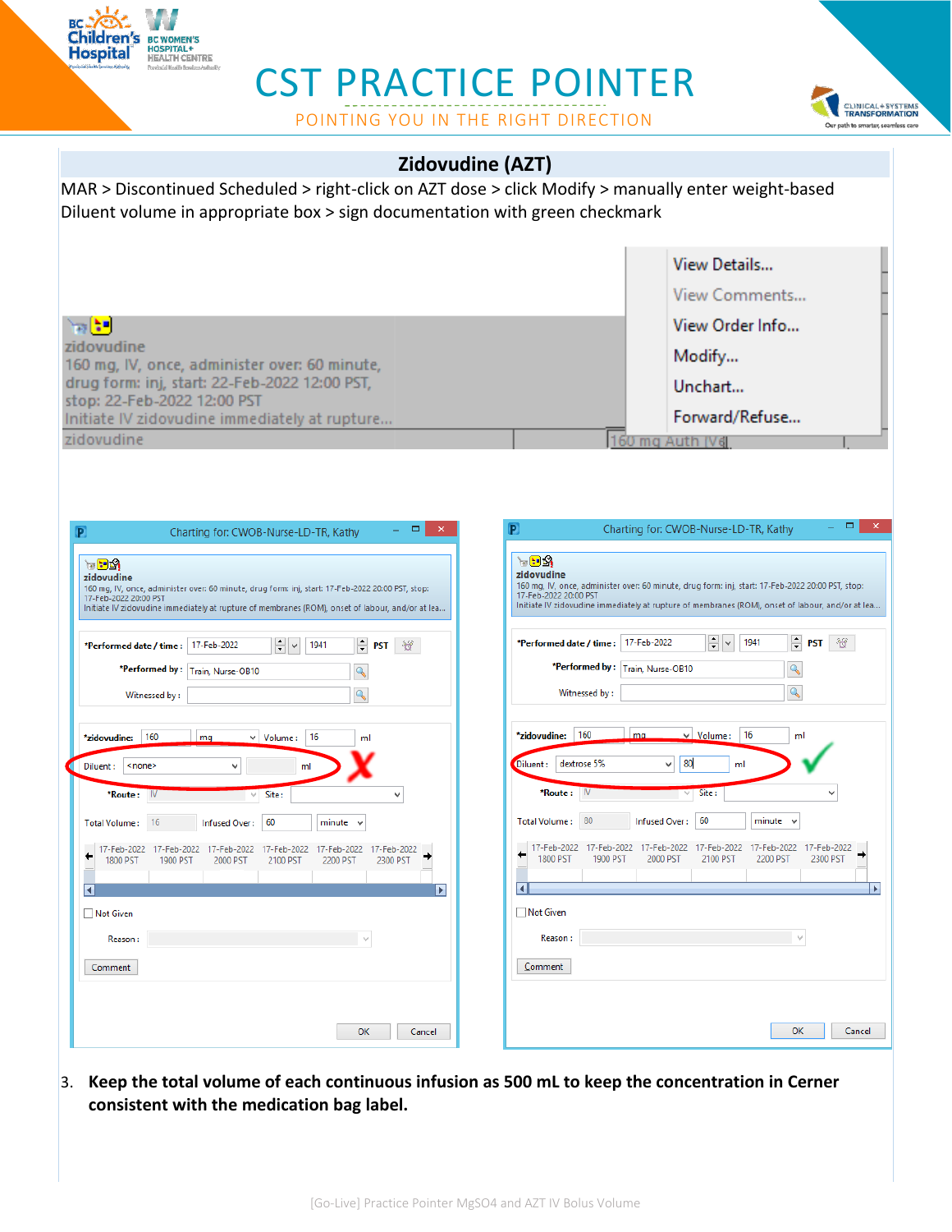

# CST PRACTICE POINTER

POINTING YOU IN THE RIGHT DIRECTION



| Zidovudine (AZT)                                                                                                                                                                                                                                                                                                                                                                                                                                                                                                                                                               |                                                                                                                                                                                                                                                                                                                                                                                                                                                                                                                |  |  |  |
|--------------------------------------------------------------------------------------------------------------------------------------------------------------------------------------------------------------------------------------------------------------------------------------------------------------------------------------------------------------------------------------------------------------------------------------------------------------------------------------------------------------------------------------------------------------------------------|----------------------------------------------------------------------------------------------------------------------------------------------------------------------------------------------------------------------------------------------------------------------------------------------------------------------------------------------------------------------------------------------------------------------------------------------------------------------------------------------------------------|--|--|--|
| MAR > Discontinued Scheduled > right-click on AZT dose > click Modify > manually enter weight-based<br>Diluent volume in appropriate box > sign documentation with green checkmark                                                                                                                                                                                                                                                                                                                                                                                             |                                                                                                                                                                                                                                                                                                                                                                                                                                                                                                                |  |  |  |
|                                                                                                                                                                                                                                                                                                                                                                                                                                                                                                                                                                                | View Details                                                                                                                                                                                                                                                                                                                                                                                                                                                                                                   |  |  |  |
|                                                                                                                                                                                                                                                                                                                                                                                                                                                                                                                                                                                | View Comments                                                                                                                                                                                                                                                                                                                                                                                                                                                                                                  |  |  |  |
| hal:"                                                                                                                                                                                                                                                                                                                                                                                                                                                                                                                                                                          | View Order Info                                                                                                                                                                                                                                                                                                                                                                                                                                                                                                |  |  |  |
| zidovudine<br>160 mg, IV, once, administer over: 60 minute,                                                                                                                                                                                                                                                                                                                                                                                                                                                                                                                    | Modify                                                                                                                                                                                                                                                                                                                                                                                                                                                                                                         |  |  |  |
| drug form: inj, start: 22-Feb-2022 12:00 PST,<br>stop: 22-Feb-2022 12:00 PST                                                                                                                                                                                                                                                                                                                                                                                                                                                                                                   | Unchart                                                                                                                                                                                                                                                                                                                                                                                                                                                                                                        |  |  |  |
| Initiate IV zidovudine immediately at rupture                                                                                                                                                                                                                                                                                                                                                                                                                                                                                                                                  | Forward/Refuse                                                                                                                                                                                                                                                                                                                                                                                                                                                                                                 |  |  |  |
| zidovudine                                                                                                                                                                                                                                                                                                                                                                                                                                                                                                                                                                     | ma Auth IV <sub>d</sub>                                                                                                                                                                                                                                                                                                                                                                                                                                                                                        |  |  |  |
| $\boldsymbol{\mathsf{x}}$<br>Charting for: CWOB-Nurse-LD-TR, Kathy<br>P<br>$\mathbf{F} \mathbf{F} \mathbf{F}$<br>zidovudine<br>160 mg, IV, once, administer over: 60 minute, drug form: inj, start: 17-Feb-2022 20:00 PST, stop:<br>17-Feb-2022 20:00 PST<br>Initiate IV zidovudine immediately at rupture of membranes (ROM), onset of labour, and/or at lea<br>$\div$ PST<br>≑l∨<br>*Performed date / time: 17-Feb-2022<br>1941<br>ಿರ್<br>*Performed by: Train, Nurse-OB10<br>Q<br>$\mathbf{Q}$<br>Witnessed by:<br> 160<br>*zidovudine:<br>mg<br>$\vee$ Volume:<br>16<br>ml | ×<br>Charting for: CWOB-Nurse-LD-TR, Kathy<br>눈면쇠<br>zidovudine<br>160 mg, IV, once, administer over: 60 minute, drug form: inj, start: 17-Feb-2022 20:00 PST, stop:<br>17-Feb-2022 20:00 PST<br>Initiate IV zidovudine immediately at rupture of membranes (ROM), onset of labour, and/or at lea<br>÷V<br>$\div$ PST<br>1941<br>17-Feb-2022<br>ಿರ್<br>*Performed date / time :<br>*Performed by: Train, Nurse-OB10<br>Q<br>$\mathbf{Q}$<br>Witnessed by:<br>*zidovudine: 160<br>$\vee$ Volume: 16<br>ma<br>ml |  |  |  |
| Diluent:<br><none><br/>٧<br/>ml<br/>Site:<br/>*Route :<br/>- IV</none>                                                                                                                                                                                                                                                                                                                                                                                                                                                                                                         | 80<br>dextrose 5%<br><b>Diluent:</b><br>v<br>ml<br>Site:<br>*Route :                                                                                                                                                                                                                                                                                                                                                                                                                                           |  |  |  |
| 60<br>Total Volume: 16<br>Infused Over:<br>$minute \sim$                                                                                                                                                                                                                                                                                                                                                                                                                                                                                                                       | 80<br>60<br>Infused Over:<br>$minute \sim$<br>Total Volume:                                                                                                                                                                                                                                                                                                                                                                                                                                                    |  |  |  |
| 17-Feb-2022 17-Feb-2022 17-Feb-2022 17-Feb-2022 17-Feb-2022 17-Feb-2022<br>1800 PST<br>1900 PST<br>2000 PST<br>2100 PST<br>2200 PST<br>2300 PST<br>В<br>$\blacktriangleright$<br>□ Not Given<br>Reason:<br>$\lambda_0 t$                                                                                                                                                                                                                                                                                                                                                       | 17-Feb-2022 17-Feb-2022 17-Feb-2022 17-Feb-2022 17-Feb-2022 17-Feb-2022<br>1800 PST<br>1900 PST<br>2000 PST<br>2200 PST<br>2300 PST<br>2100 PST<br>E<br>И<br>Not Given<br>$\forall$<br>Reason:                                                                                                                                                                                                                                                                                                                 |  |  |  |
| Comment                                                                                                                                                                                                                                                                                                                                                                                                                                                                                                                                                                        | Comment                                                                                                                                                                                                                                                                                                                                                                                                                                                                                                        |  |  |  |
|                                                                                                                                                                                                                                                                                                                                                                                                                                                                                                                                                                                |                                                                                                                                                                                                                                                                                                                                                                                                                                                                                                                |  |  |  |
| OK<br>Cancel                                                                                                                                                                                                                                                                                                                                                                                                                                                                                                                                                                   | OK<br>Cancel                                                                                                                                                                                                                                                                                                                                                                                                                                                                                                   |  |  |  |

3. **Keep the total volume of each continuous infusion as 500 mL to keep the concentration in Cerner consistent with the medication bag label.**